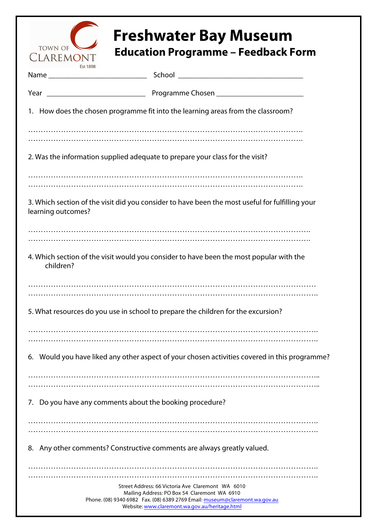

## **Freshwater Bay Museum**<br>CLAREMONT Education Programme – Feedback Form

|                                                                               | 1. How does the chosen programme fit into the learning areas from the classroom?                                                                                                                                                     |
|-------------------------------------------------------------------------------|--------------------------------------------------------------------------------------------------------------------------------------------------------------------------------------------------------------------------------------|
|                                                                               |                                                                                                                                                                                                                                      |
| 2. Was the information supplied adequate to prepare your class for the visit? |                                                                                                                                                                                                                                      |
|                                                                               |                                                                                                                                                                                                                                      |
| learning outcomes?                                                            | 3. Which section of the visit did you consider to have been the most useful for fulfilling your                                                                                                                                      |
|                                                                               |                                                                                                                                                                                                                                      |
| children?                                                                     | 4. Which section of the visit would you consider to have been the most popular with the                                                                                                                                              |
|                                                                               |                                                                                                                                                                                                                                      |
|                                                                               | 5. What resources do you use in school to prepare the children for the excursion?                                                                                                                                                    |
|                                                                               |                                                                                                                                                                                                                                      |
|                                                                               | 6. Would you have liked any other aspect of your chosen activities covered in this programme?                                                                                                                                        |
|                                                                               |                                                                                                                                                                                                                                      |
| Do you have any comments about the booking procedure?<br>7.                   |                                                                                                                                                                                                                                      |
|                                                                               |                                                                                                                                                                                                                                      |
| 8.                                                                            | Any other comments? Constructive comments are always greatly valued.                                                                                                                                                                 |
|                                                                               |                                                                                                                                                                                                                                      |
|                                                                               | Street Address: 66 Victoria Ave Claremont WA 6010<br>Mailing Address: PO Box 54 Claremont WA 6910<br>Phone. (08) 9340 6982  Fax. (08) 6389 2769  Email: museum@claremont.wa.gov.au<br>Website: www.claremont.wa.gov.au/heritage.html |